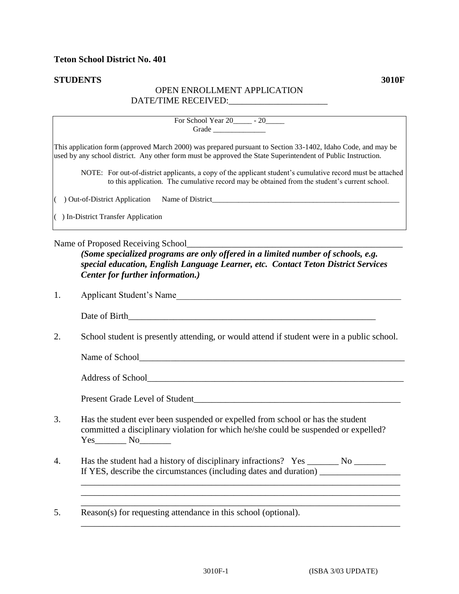## **STUDENTS 3010F**

## OPEN ENROLLMENT APPLICATION DATE/TIME RECEIVED:\_\_\_\_\_\_\_\_\_\_\_\_\_\_\_\_\_\_\_\_\_\_

|    | For School Year 20 ______ - 20 ______<br>Grade                                                                                                                                                                                                                                                                                                                                                                                              |
|----|---------------------------------------------------------------------------------------------------------------------------------------------------------------------------------------------------------------------------------------------------------------------------------------------------------------------------------------------------------------------------------------------------------------------------------------------|
|    | This application form (approved March 2000) was prepared pursuant to Section 33-1402, Idaho Code, and may be<br>used by any school district. Any other form must be approved the State Superintendent of Public Instruction.<br>NOTE: For out-of-district applicants, a copy of the applicant student's cumulative record must be attached<br>to this application. The cumulative record may be obtained from the student's current school. |
|    | ( ) Out-of-District Application Name of District________________________________                                                                                                                                                                                                                                                                                                                                                            |
|    | $( )$ In-District Transfer Application                                                                                                                                                                                                                                                                                                                                                                                                      |
|    | (Some specialized programs are only offered in a limited number of schools, e.g.<br>special education, English Language Learner, etc. Contact Teton District Services<br>Center for further information.)                                                                                                                                                                                                                                   |
| 1. | Applicant Student's Name                                                                                                                                                                                                                                                                                                                                                                                                                    |
|    |                                                                                                                                                                                                                                                                                                                                                                                                                                             |
| 2. | School student is presently attending, or would attend if student were in a public school.                                                                                                                                                                                                                                                                                                                                                  |
|    |                                                                                                                                                                                                                                                                                                                                                                                                                                             |
|    |                                                                                                                                                                                                                                                                                                                                                                                                                                             |
|    |                                                                                                                                                                                                                                                                                                                                                                                                                                             |
| 3. | Has the student ever been suspended or expelled from school or has the student<br>committed a disciplinary violation for which he/she could be suspended or expelled?<br>$Yes$ No                                                                                                                                                                                                                                                           |

4. Has the student had a history of disciplinary infractions? Yes \_\_\_\_\_\_\_ No \_\_\_\_\_\_\_ If YES, describe the circumstances (including dates and duration) \_\_\_\_\_\_\_\_\_\_\_\_\_\_\_\_\_\_

\_\_\_\_\_\_\_\_\_\_\_\_\_\_\_\_\_\_\_\_\_\_\_\_\_\_\_\_\_\_\_\_\_\_\_\_\_\_\_\_\_\_\_\_\_\_\_\_\_\_\_\_\_\_\_\_\_\_\_\_\_\_\_\_\_\_\_\_\_\_\_

\_\_\_\_\_\_\_\_\_\_\_\_\_\_\_\_\_\_\_\_\_\_\_\_\_\_\_\_\_\_\_\_\_\_\_\_\_\_\_\_\_\_\_\_\_\_\_\_\_\_\_\_\_\_\_\_\_\_\_\_\_\_\_\_\_\_\_\_\_\_\_

 $\_$  . The contribution of the contribution of the contribution of the contribution of  $\mathcal{L}_\mathbf{u}$ 

 $\overline{\text{Reason}(s)}$  for requesting attendance in this school (optional). Reason(s) for requesting attendance in this school (optional).